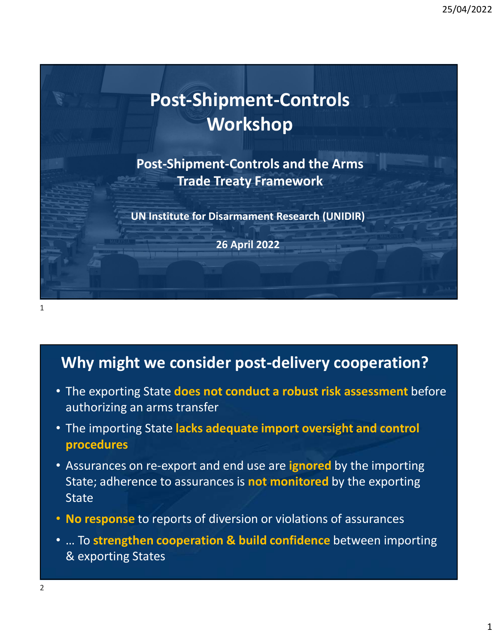

Post-Shipment-Controls and the Arms Trade Treaty Framework

UN Institute for Disarmament Research (UNIDIR)

26 April 2022

## Why might we consider post-delivery cooperation?

- The exporting State does not conduct a robust risk assessment before authorizing an arms transfer
- The importing State lacks adequate import oversight and control procedures
- Assurances on re-export and end use are ignored by the importing **State; additionally and State does not conduct a robust risk assessment before**<br>The exporting State does not conduct a robust risk assessment before<br>authorizing an arms transfer<br>The importing State lacks adequate import o **State Why might we consider post-delivery cooperation?**<br>• The exporting State does not conduct a robust risk assessment before authorizing an arms transfer<br>• The importing State lacks adequate import oversight and control<br>proce
- No response to reports of diversion or violations of assurances
- & exporting States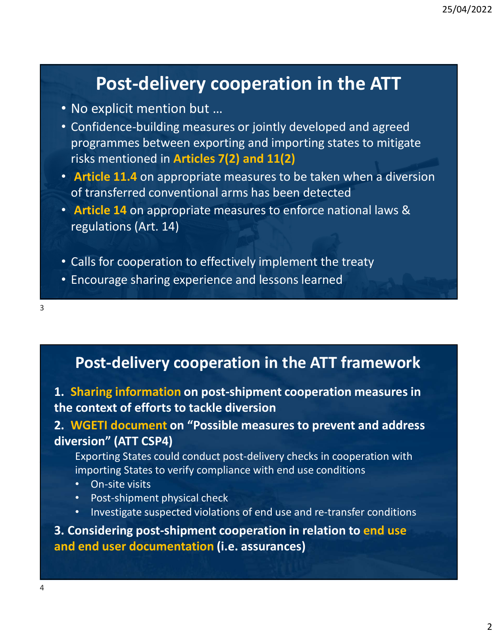# Post-delivery cooperation in the ATT

- No explicit mention but …
- Confidence-building measures or jointly developed and agreed **Post-delivery cooperation in the ATT**<br>No explicit mention but ...<br>Confidence-building measures or jointly developed and agreed<br>programmes between exporting and importing states to mitigate<br>risks mentioned in **Articles 7(2** risks mentioned in Articles 7(2) and 11(2)
- Article 11.4 on appropriate measures to be taken when a diversion of transferred conventional arms has been detected
- Article 14 on appropriate measures to enforce national laws & regulations (Art. 14)
- Calls for cooperation to effectively implement the treaty
- Encourage sharing experience and lessons learned

3

# Post-delivery cooperation in the ATT framework

### 1. Sharing information on post-shipment cooperation measures in the context of efforts to tackle diversion

# 2. WGETI document on "Possible measures to prevent and address diversion" (ATT CSP4) **Post-delivery cooperation in the ATT framework**<br> **1. Sharing information on post-shipment cooperation measures in**<br> **the context of efforts to tackle diversion**<br> **2. WGETI document on "Possible measures to prevent and add Post-delivery cooperation in the ATT framework**<br>
1. **Sharing information on post-shipment cooperation measures in**<br>
the context of efforts to tackle diversion<br>
2. WGETI document on "Possible measures to prevent and addres

Exporting States could conduct post-delivery checks in cooperation with importing States to verify compliance with end use conditions

- On-site visits
- Post-shipment physical check
- Investigate suspected violations of end use and re-transfer conditions